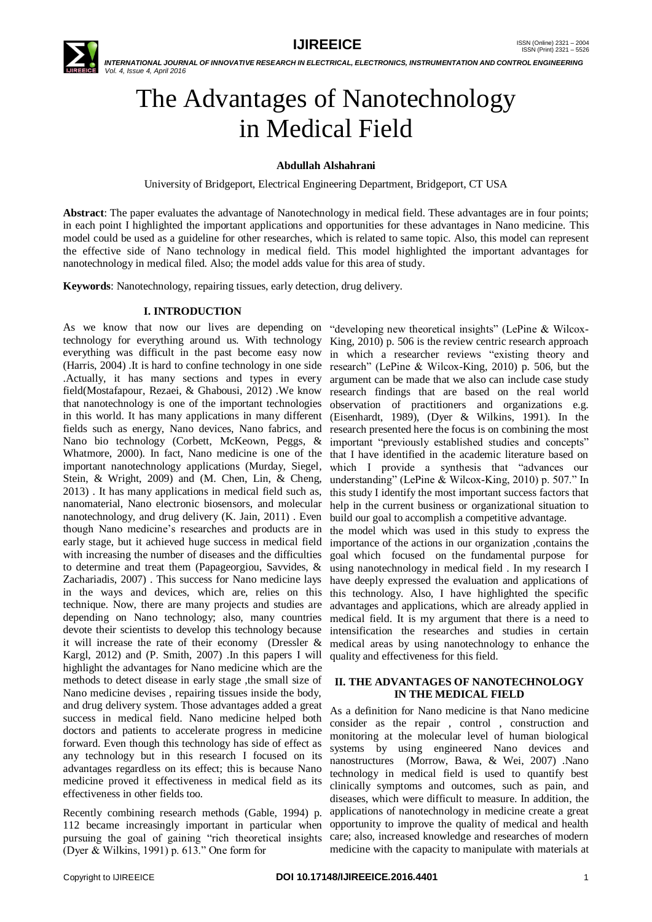

# The Advantages of Nanotechnology in Medical Field

## **Abdullah Alshahrani**

University of Bridgeport, Electrical Engineering Department, Bridgeport, CT USA

**Abstract**: The paper evaluates the advantage of Nanotechnology in medical field. These advantages are in four points; in each point I highlighted the important applications and opportunities for these advantages in Nano medicine. This model could be used as a guideline for other researches, which is related to same topic. Also, this model can represent the effective side of Nano technology in medical field. This model highlighted the important advantages for nanotechnology in medical filed. Also; the model adds value for this area of study.

**Keywords**: Nanotechnology, repairing tissues, early detection, drug delivery.

## **I. INTRODUCTION**

As we know that now our lives are depending on technology for everything around us. With technology King, 2010) p. 506 is the review centric research approach everything was difficult in the past become easy now (Harris, 2004) .It is hard to confine technology in one side research" (LePine & Wilcox-King, 2010) p. 506, but the .Actually, it has many sections and types in every field(Mostafapour, Rezaei, & Ghabousi, 2012) .We know that nanotechnology is one of the important technologies in this world. It has many applications in many different fields such as energy, Nano devices, Nano fabrics, and Nano bio technology (Corbett, McKeown, Peggs, & Whatmore, 2000). In fact, Nano medicine is one of the important nanotechnology applications (Murday, Siegel, Stein, & Wright, 2009) and (M. Chen, Lin, & Cheng, 2013) . It has many applications in medical field such as, nanomaterial, Nano electronic biosensors, and molecular nanotechnology, and drug delivery (K. Jain, 2011) . Even though Nano medicine's researches and products are in early stage, but it achieved huge success in medical field with increasing the number of diseases and the difficulties to determine and treat them (Papageorgiou, Savvides, & Zachariadis, 2007) . This success for Nano medicine lays in the ways and devices, which are, relies on this technique. Now, there are many projects and studies are depending on Nano technology; also, many countries devote their scientists to develop this technology because it will increase the rate of their economy (Dressler & Kargl, 2012) and (P. Smith, 2007) .In this papers I will highlight the advantages for Nano medicine which are the methods to detect disease in early stage ,the small size of Nano medicine devises , repairing tissues inside the body, and drug delivery system. Those advantages added a great success in medical field. Nano medicine helped both doctors and patients to accelerate progress in medicine forward. Even though this technology has side of effect as any technology but in this research I focused on its advantages regardless on its effect; this is because Nano medicine proved it effectiveness in medical field as its effectiveness in other fields too.

Recently combining research methods (Gable, 1994) p. 112 became increasingly important in particular when pursuing the goal of gaining "rich theoretical insights (Dyer & Wilkins, 1991) p.  $613$ ." One form for

"developing new theoretical insights" (LePine  $&$  Wilcoxin which a researcher reviews "existing theory and argument can be made that we also can include case study research findings that are based on the real world observation of practitioners and organizations e.g. (Eisenhardt, 1989), (Dyer & Wilkins, 1991). In the research presented here the focus is on combining the most important "previously established studies and concepts" that I have identified in the academic literature based on which I provide a synthesis that "advances our understanding" (LePine & Wilcox-King, 2010) p. 507." In this study I identify the most important success factors that help in the current business or organizational situation to build our goal to accomplish a competitive advantage. the model which was used in this study to express the

importance of the actions in our organization ,contains the goal which focused on the fundamental purpose for using nanotechnology in medical field . In my research I have deeply expressed the evaluation and applications of this technology. Also, I have highlighted the specific advantages and applications, which are already applied in medical field. It is my argument that there is a need to intensification the researches and studies in certain medical areas by using nanotechnology to enhance the quality and effectiveness for this field.

## **II. THE ADVANTAGES OF NANOTECHNOLOGY IN THE MEDICAL FIELD**

As a definition for Nano medicine is that Nano medicine consider as the repair , control , construction and monitoring at the molecular level of human biological systems by using engineered Nano devices and nanostructures (Morrow, Bawa, & Wei, 2007) .Nano technology in medical field is used to quantify best clinically symptoms and outcomes, such as pain, and diseases, which were difficult to measure. In addition, the applications of nanotechnology in medicine create a great opportunity to improve the quality of medical and health care; also, increased knowledge and researches of modern medicine with the capacity to manipulate with materials at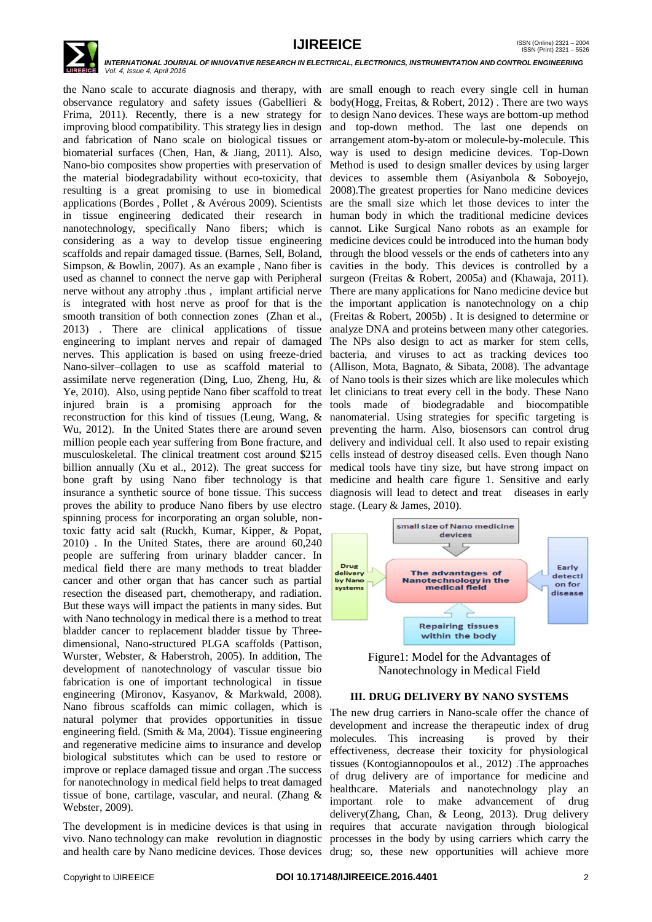

observance regulatory and safety issues (Gabellieri & body(Hogg, Freitas, & Robert, 2012) . There are two ways Frima, 2011). Recently, there is a new strategy for to design Nano devices. These ways are bottom-up method improving blood compatibility. This strategy lies in design and top-down method. The last one depends on and fabrication of Nano scale on biological tissues or arrangement atom-by-atom or molecule-by-molecule. This biomaterial surfaces (Chen, Han, & Jiang, 2011). Also, Nano-bio composites show properties with preservation of the material biodegradability without eco-toxicity, that resulting is a great promising to use in biomedical applications (Bordes , Pollet , & Avérous 2009). Scientists in tissue engineering dedicated their research in nanotechnology, specifically Nano fibers; which is considering as a way to develop tissue engineering scaffolds and repair damaged tissue. (Barnes, Sell, Boland, Simpson, & Bowlin, 2007). As an example , Nano fiber is used as channel to connect the nerve gap with Peripheral nerve without any atrophy .thus , implant artificial nerve is integrated with host nerve as proof for that is the the important application is nanotechnology on a chip smooth transition of both connection zones (Zhan et al., 2013) . There are clinical applications of tissue engineering to implant nerves and repair of damaged The NPs also design to act as marker for stem cells, nerves. This application is based on using freeze-dried bacteria, and viruses to act as tracking devices too Nano-silver–collagen to use as scaffold material to (Allison, Mota, Bagnato, & Sibata, 2008). The advantage assimilate nerve regeneration (Ding, Luo, Zheng, Hu, & Ye, 2010). Also, using peptide Nano fiber scaffold to treat injured brain is a promising approach for the reconstruction for this kind of tissues (Leung, Wang, & Wu, 2012). In the United States there are around seven million people each year suffering from Bone fracture, and musculoskeletal. The clinical treatment cost around \$215 billion annually (Xu et al., 2012). The great success for bone graft by using Nano fiber technology is that insurance a synthetic source of bone tissue. This success proves the ability to produce Nano fibers by use electro spinning process for incorporating an organ soluble, nontoxic fatty acid salt (Ruckh, Kumar, Kipper, & Popat, 2010) . In the United States, there are around 60,240 people are suffering from urinary bladder cancer. In medical field there are many methods to treat bladder cancer and other organ that has cancer such as partial resection the diseased part, chemotherapy, and radiation. But these ways will impact the patients in many sides. But with Nano technology in medical there is a method to treat bladder cancer to replacement bladder tissue by Threedimensional, Nano-structured PLGA scaffolds (Pattison, Wurster, Webster, & Haberstroh, 2005). In addition, The development of nanotechnology of vascular tissue bio fabrication is one of important technological in tissue engineering (Mironov, Kasyanov, & Markwald, 2008). Nano fibrous scaffolds can mimic collagen, which is natural polymer that provides opportunities in tissue engineering field. (Smith & Ma, 2004). Tissue engineering and regenerative medicine aims to insurance and develop biological substitutes which can be used to restore or improve or replace damaged tissue and organ .The success for nanotechnology in medical field helps to treat damaged tissue of bone, cartilage, vascular, and neural. (Zhang & Webster, 2009).

the Nano scale to accurate diagnosis and therapy, with are small enough to reach every single cell in human way is used to design medicine devices. Top-Down Method is used to design smaller devices by using larger devices to assemble them (Asiyanbola & Soboyejo, 2008).The greatest properties for Nano medicine devices are the small size which let those devices to inter the human body in which the traditional medicine devices cannot. Like Surgical Nano robots as an example for medicine devices could be introduced into the human body through the blood vessels or the ends of catheters into any cavities in the body. This devices is controlled by a surgeon (Freitas & Robert, 2005a) and (Khawaja, 2011). There are many applications for Nano medicine device but (Freitas & Robert, 2005b) . It is designed to determine or analyze DNA and proteins between many other categories. of Nano tools is their sizes which are like molecules which let clinicians to treat every cell in the body. These Nano tools made of biodegradable and biocompatible nanomaterial. Using strategies for specific targeting is preventing the harm. Also, biosensors can control drug delivery and individual cell. It also used to repair existing cells instead of destroy diseased cells. Even though Nano medical tools have tiny size, but have strong impact on medicine and health care figure 1. Sensitive and early diagnosis will lead to detect and treat diseases in early stage. (Leary & James, 2010).



Figure1: Model for the Advantages of Nanotechnology in Medical Field

### **III. DRUG DELIVERY BY NANO SYSTEMS**

The development is in medicine devices is that using in requires that accurate navigation through biological vivo. Nano technology can make revolution in diagnostic processes in the body by using carriers which carry the and health care by Nano medicine devices. Those devices drug; so, these new opportunities will achieve more The new drug carriers in Nano-scale offer the chance of development and increase the therapeutic index of drug molecules. This increasing is proved by their effectiveness, decrease their toxicity for physiological tissues (Kontogiannopoulos et al., 2012) .The approaches of drug delivery are of importance for medicine and healthcare. Materials and nanotechnology play an important role to make advancement of drug delivery(Zhang, Chan, & Leong, 2013). Drug delivery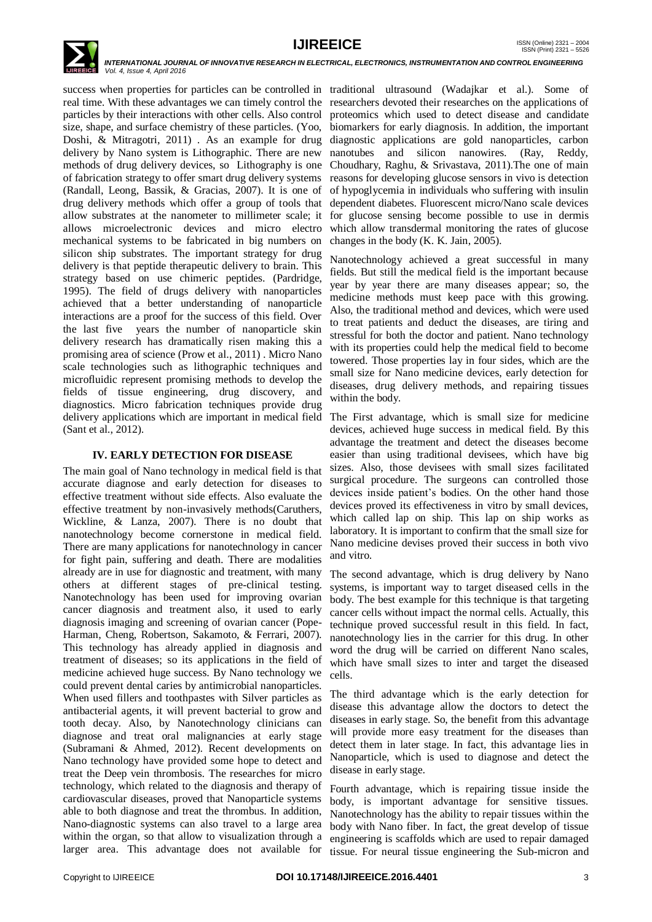

success when properties for particles can be controlled in traditional ultrasound (Wadajkar et al.). Some of real time. With these advantages we can timely control the researchers devoted their researches on the applications of particles by their interactions with other cells. Also control size, shape, and surface chemistry of these particles. (Yoo, Doshi, & Mitragotri, 2011) . As an example for drug delivery by Nano system is Lithographic. There are new methods of drug delivery devices, so Lithography is one of fabrication strategy to offer smart drug delivery systems (Randall, Leong, Bassik, & Gracias, 2007). It is one of drug delivery methods which offer a group of tools that allow substrates at the nanometer to millimeter scale; it allows microelectronic devices and micro electro mechanical systems to be fabricated in big numbers on silicon ship substrates. The important strategy for drug delivery is that peptide therapeutic delivery to brain. This strategy based on use chimeric peptides. (Pardridge, 1995). The field of drugs delivery with nanoparticles achieved that a better understanding of nanoparticle interactions are a proof for the success of this field. Over the last five years the number of nanoparticle skin delivery research has dramatically risen making this a promising area of science (Prow et al., 2011) . Micro Nano scale technologies such as lithographic techniques and microfluidic represent promising methods to develop the fields of tissue engineering, drug discovery, and diagnostics. Micro fabrication techniques provide drug delivery applications which are important in medical field (Sant et al., 2012).

## **IV. EARLY DETECTION FOR DISEASE**

The main goal of Nano technology in medical field is that accurate diagnose and early detection for diseases to effective treatment without side effects. Also evaluate the effective treatment by non-invasively methods(Caruthers, Wickline, & Lanza, 2007). There is no doubt that nanotechnology become cornerstone in medical field. There are many applications for nanotechnology in cancer for fight pain, suffering and death. There are modalities already are in use for diagnostic and treatment, with many others at different stages of pre-clinical testing. Nanotechnology has been used for improving ovarian cancer diagnosis and treatment also, it used to early diagnosis imaging and screening of ovarian cancer (Pope-Harman, Cheng, Robertson, Sakamoto, & Ferrari, 2007). This technology has already applied in diagnosis and treatment of diseases; so its applications in the field of medicine achieved huge success. By Nano technology we could prevent dental caries by antimicrobial nanoparticles. When used fillers and toothpastes with Silver particles as antibacterial agents, it will prevent bacterial to grow and tooth decay. Also, by Nanotechnology clinicians can diagnose and treat oral malignancies at early stage (Subramani & Ahmed, 2012). Recent developments on Nano technology have provided some hope to detect and treat the Deep vein thrombosis. The researches for micro technology, which related to the diagnosis and therapy of cardiovascular diseases, proved that Nanoparticle systems able to both diagnose and treat the thrombus. In addition, Nano-diagnostic systems can also travel to a large area within the organ, so that allow to visualization through a larger area. This advantage does not available for

proteomics which used to detect disease and candidate biomarkers for early diagnosis. In addition, the important diagnostic applications are gold nanoparticles, carbon nanotubes and silicon nanowires. (Ray, Reddy, Choudhary, Raghu, & Srivastava, 2011).The one of main reasons for developing glucose sensors in vivo is detection of hypoglycemia in individuals who suffering with insulin dependent diabetes. Fluorescent micro/Nano scale devices for glucose sensing become possible to use in dermis which allow transdermal monitoring the rates of glucose changes in the body (K. K. Jain, 2005).

Nanotechnology achieved a great successful in many fields. But still the medical field is the important because year by year there are many diseases appear; so, the medicine methods must keep pace with this growing. Also, the traditional method and devices, which were used to treat patients and deduct the diseases, are tiring and stressful for both the doctor and patient. Nano technology with its properties could help the medical field to become towered. Those properties lay in four sides, which are the small size for Nano medicine devices, early detection for diseases, drug delivery methods, and repairing tissues within the body.

The First advantage, which is small size for medicine devices, achieved huge success in medical field. By this advantage the treatment and detect the diseases become easier than using traditional devisees, which have big sizes. Also, those devisees with small sizes facilitated surgical procedure. The surgeons can controlled those devices inside patient's bodies. On the other hand those devices proved its effectiveness in vitro by small devices, which called lap on ship. This lap on ship works as laboratory. It is important to confirm that the small size for Nano medicine devises proved their success in both vivo and vitro.

The second advantage, which is drug delivery by Nano systems, is important way to target diseased cells in the body. The best example for this technique is that targeting cancer cells without impact the normal cells. Actually, this technique proved successful result in this field. In fact, nanotechnology lies in the carrier for this drug. In other word the drug will be carried on different Nano scales, which have small sizes to inter and target the diseased cells.

The third advantage which is the early detection for disease this advantage allow the doctors to detect the diseases in early stage. So, the benefit from this advantage will provide more easy treatment for the diseases than detect them in later stage. In fact, this advantage lies in Nanoparticle, which is used to diagnose and detect the disease in early stage.

Fourth advantage, which is repairing tissue inside the body, is important advantage for sensitive tissues. Nanotechnology has the ability to repair tissues within the body with Nano fiber. In fact, the great develop of tissue engineering is scaffolds which are used to repair damaged tissue. For neural tissue engineering the Sub-micron and